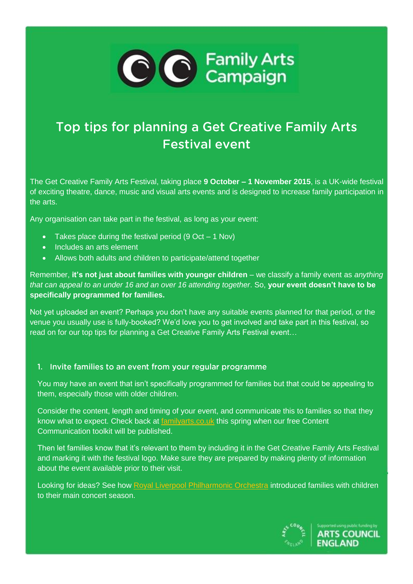

# Top tips for planning a Get Creative Family Arts **Festival event**

The Get Creative Family Arts Festival, taking place **9 October – 1 November 2015**, is a UK-wide festival of exciting theatre, dance, music and visual arts events and is designed to increase family participation in the arts.

Any organisation can take part in the festival, as long as your event:

- Takes place during the festival period (9 Oct 1 Nov)
- Includes an arts element
- Allows both adults and children to participate/attend together

Remember, **it's not just about families with younger children** – we classify a family event as *anything that can appeal to an under 16 and an over 16 attending together*. So, **your event doesn't have to be specifically programmed for families.**

Not yet uploaded an event? Perhaps you don't have any suitable events planned for that period, or the venue you usually use is fully-booked? We'd love you to get involved and take part in this festival, so read on for our top tips for planning a Get Creative Family Arts Festival event…

#### 1. Invite families to an event from your regular programme

You may have an event that isn't specifically programmed for families but that could be appealing to them, especially those with older children.

Consider the content, length and timing of your event, and communicate this to families so that they know what to expect. Check back at [familyarts.co.uk](http://www.familyarts.co.uk/) this spring when our free Content Communication toolkit will be published.

Then let families know that it's relevant to them by including it in the Get Creative Family Arts Festival and marking it with the festival logo. Make sure they are prepared by making plenty of information about the event available prior to their visit.

Looking for ideas? See how [Royal Liverpool Philharmonic Orchestra](http://www.familyarts.co.uk/wp-content/uploads/2013/11/Standards_Liverpool-Phil-Case-study.pdf) introduced families with children to their main concert season.

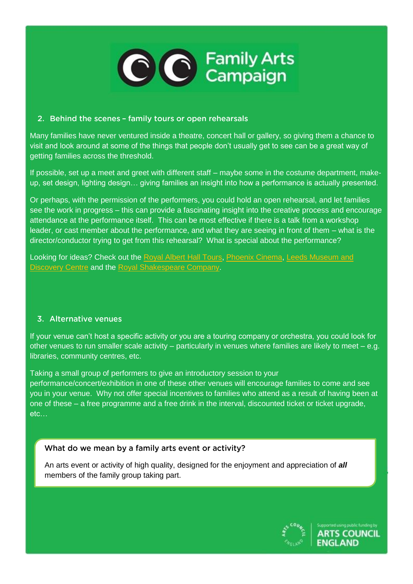

## 2. Behind the scenes - family tours or open rehearsals

Many families have never ventured inside a theatre, concert hall or gallery, so giving them a chance to visit and look around at some of the things that people don't usually get to see can be a great way of getting families across the threshold.

If possible, set up a meet and greet with different staff – maybe some in the costume department, makeup, set design, lighting design… giving families an insight into how a performance is actually presented.

Or perhaps, with the permission of the performers, you could hold an open rehearsal, and let families see the work in progress – this can provide a fascinating insight into the creative process and encourage attendance at the performance itself. This can be most effective if there is a talk from a workshop leader, or cast member about the performance, and what they are seeing in front of them – what is the director/conductor trying to get from this rehearsal? What is special about the performance?

Looking for ideas? Check out the [Royal Albert Hall Tours,](http://www.royalalberthall.com/tickets/tours/behind-the-scenes/default.aspx) [Phoenix Cinema,](http://www.phoenixcinema.co.uk/education/heritage/tours/) [Leeds Museum and](http://www.leeds.gov.uk/Events/Pages/behind-the-scenes.aspx)  [Discovery Centre](http://www.leeds.gov.uk/Events/Pages/behind-the-scenes.aspx) and the [Royal Shakespeare Company.](http://www.rsc.org.uk/visit-us/behind-the-scenes-tours.aspx)

#### 3. Alternative venues

If your venue can't host a specific activity or you are a touring company or orchestra, you could look for other venues to run smaller scale activity – particularly in venues where families are likely to meet – e.g. libraries, community centres, etc.

Taking a small group of performers to give an introductory session to your performance/concert/exhibition in one of these other venues will encourage families to come and see you in your venue. Why not offer special incentives to families who attend as a result of having been at one of these – a free programme and a free drink in the interval, discounted ticket or ticket upgrade, etc…

# What do we mean by a family arts event or activity?

An arts event or activity of high quality, designed for the enjoyment and appreciation of *all* members of the family group taking part.

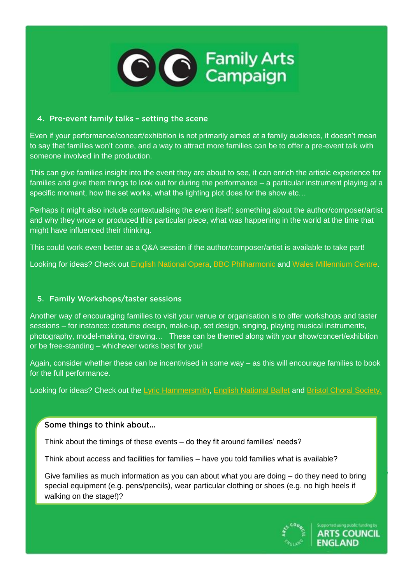

## 4. Pre-event family talks - setting the scene

Even if your performance/concert/exhibition is not primarily aimed at a family audience, it doesn't mean to say that families won't come, and a way to attract more families can be to offer a pre-event talk with someone involved in the production.

This can give families insight into the event they are about to see, it can enrich the artistic experience for families and give them things to look out for during the performance – a particular instrument playing at a specific moment, how the set works, what the lighting plot does for the show etc…

Perhaps it might also include contextualising the event itself; something about the author/composer/artist and why they wrote or produced this particular piece, what was happening in the world at the time that might have influenced their thinking.

This could work even better as a Q&A session if the author/composer/artist is available to take part!

Looking for ideas? Check out [English National Opera,](http://www.eno.org/undressed) [BBC Philharmonic](http://www.bbc.co.uk/programmes/profiles/1VVrZ0NxB0cCHTLh7NqXk5S/learning-and-outreach) and [Wales Millennium Centre.](https://www.wmc.org.uk/Productions/2015-2016/212658/16MayPeterPan/)

# 5. Family Workshops/taster sessions

Another way of encouraging families to visit your venue or organisation is to offer workshops and taster sessions – for instance: costume design, make-up, set design, singing, playing musical instruments, photography, model-making, drawing… These can be themed along with your show/concert/exhibition or be free-standing – whichever works best for you!

Again, consider whether these can be incentivised in some way – as this will encourage families to book for the full performance.

Looking for ideas? Check out the [Lyric Hammersmith,](http://www.familyarts.co.uk/wp-content/uploads/2013/11/Lyric.pdf) [English National Ballet](http://www.familyarts.co.uk/wp-content/uploads/2013/11/ENB.pdf) and [Bristol Choral Society.](http://www.colstonhall.org/shows/mini-messiah/)

Some things to think about...

Think about the timings of these events – do they fit around families' needs?

Think about access and facilities for families – have you told families what is available?

Give families as much information as you can about what you are doing – do they need to bring special equipment (e.g. pens/pencils), wear particular clothing or shoes (e.g. no high heels if walking on the stage!)?